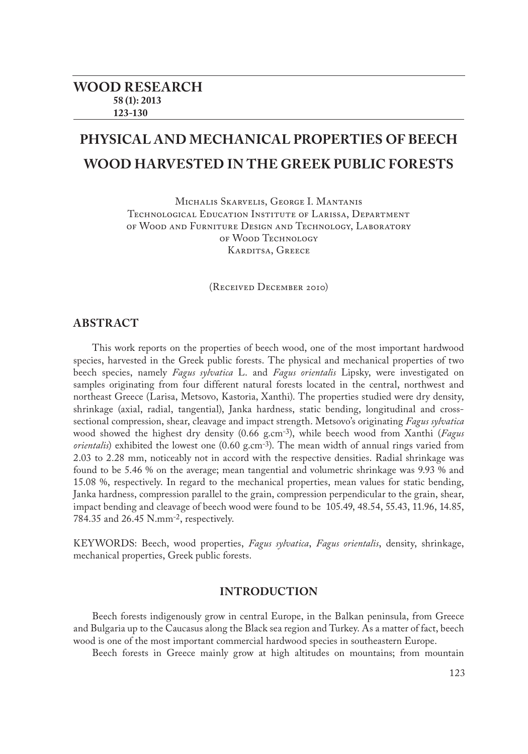# **PHYSICAL AND MECHANICAL PROPERTIES OF BEECH WOOD HARVESTED IN THE GREEK PUBLIC FORESTS**

Michalis Skarvelis, George I. Mantanis Technological Education Institute of Larissa, Department of Wood and Furniture Design and Technology, Laboratory of Wood Technology KARDITSA, GREECE

(Received December 2010)

## **ABSTRACT**

This work reports on the properties of beech wood, one of the most important hardwood species, harvested in the Greek public forests. The physical and mechanical properties of two beech species, namely *Fagus sylvatica* L. and *Fagus orientalis* Lipsky, were investigated on samples originating from four different natural forests located in the central, northwest and northeast Greece (Larisa, Metsovo, Kastoria, Xanthi). The properties studied were dry density, shrinkage (axial, radial, tangential), Janka hardness, static bending, longitudinal and crosssectional compression, shear, cleavage and impact strength. Metsovo's originating *Fagus sylvatica* wood showed the highest dry density (0.66 g.cm-3), while beech wood from Xanthi (*Fagus orientalis*) exhibited the lowest one (0.60 g.cm<sup>-3</sup>). The mean width of annual rings varied from 2.03 to 2.28 mm, noticeably not in accord with the respective densities. Radial shrinkage was found to be 5.46 % on the average; mean tangential and volumetric shrinkage was 9.93 % and 15.08 %, respectively. In regard to the mechanical properties, mean values for static bending, Janka hardness, compression parallel to the grain, compression perpendicular to the grain, shear, impact bending and cleavage of beech wood were found to be 105.49, 48.54, 55.43, 11.96, 14.85, 784.35 and 26.45 N.mm-2, respectively.

KEYWORDS: Beech, wood properties, *Fagus sylvatica*, *Fagus orientalis*, density, shrinkage, mechanical properties, Greek public forests.

## **INTRODUCTION**

Beech forests indigenously grow in central Europe, in the Balkan peninsula, from Greece and Bulgaria up to the Caucasus along the Black sea region and Turkey. As a matter of fact, beech wood is one of the most important commercial hardwood species in southeastern Europe.

Beech forests in Greece mainly grow at high altitudes on mountains; from mountain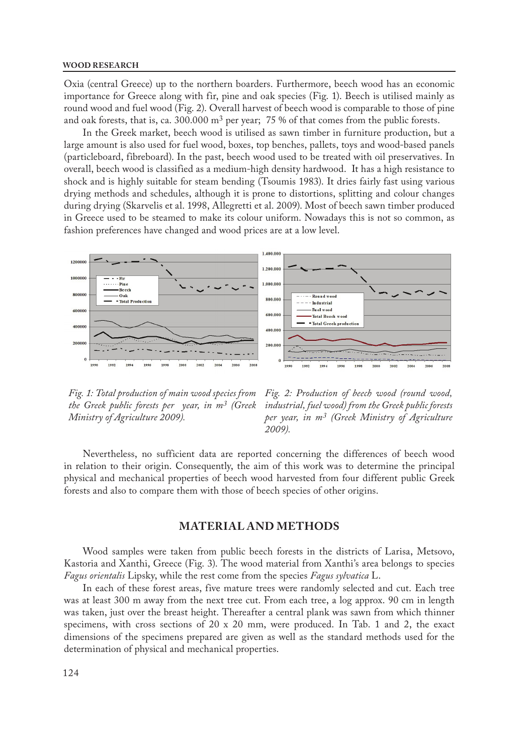#### **WOOD RESEARCH**

Oxia (central Greece) up to the northern boarders. Furthermore, beech wood has an economic importance for Greece along with fir, pine and oak species (Fig. 1). Beech is utilised mainly as round wood and fuel wood (Fig. 2). Overall harvest of beech wood is comparable to those of pine and oak forests, that is, ca. 300.000 m<sup>3</sup> per year; 75 % of that comes from the public forests.

In the Greek market, beech wood is utilised as sawn timber in furniture production, but a large amount is also used for fuel wood, boxes, top benches, pallets, toys and wood-based panels (particleboard, fibreboard). In the past, beech wood used to be treated with oil preservatives. In overall, beech wood is classified as a medium-high density hardwood. It has a high resistance to shock and is highly suitable for steam bending (Tsoumis 1983). It dries fairly fast using various drying methods and schedules, although it is prone to distortions, splitting and colour changes during drying (Skarvelis et al. 1998, Allegretti et al. 2009). Most of beech sawn timber produced in Greece used to be steamed to make its colour uniform. Nowadays this is not so common, as fashion preferences have changed and wood prices are at a low level.



*Fig. 1: Total production of main wood species from the Greek public forests per year, in m3 (Greek Ministry of Agriculture 2009).*

*Fig. 2: Production of beech wood (round wood, industrial, fuel wood) from the Greek public forests per year, in m3 (Greek Ministry of Agriculture 2009).*

Nevertheless, no sufficient data are reported concerning the differences of beech wood in relation to their origin. Consequently, the aim of this work was to determine the principal physical and mechanical properties of beech wood harvested from four different public Greek forests and also to compare them with those of beech species of other origins.

### **MATERIAL AND METHODS**

Wood samples were taken from public beech forests in the districts of Larisa, Metsovo, Kastoria and Xanthi, Greece (Fig. 3). The wood material from Xanthi's area belongs to species *Fagus orientalis* Lipsky, while the rest come from the species *Fagus sylvatica* L.

In each of these forest areas, five mature trees were randomly selected and cut. Each tree was at least 300 m away from the next tree cut. From each tree, a log approx. 90 cm in length was taken, just over the breast height. Thereafter a central plank was sawn from which thinner specimens, with cross sections of 20 x 20 mm, were produced. In Tab. 1 and 2, the exact dimensions of the specimens prepared are given as well as the standard methods used for the determination of physical and mechanical properties.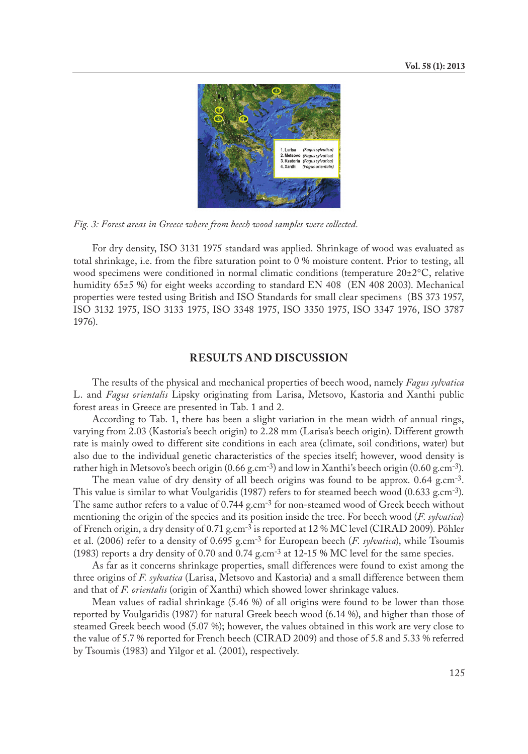

*Fig. 3: Forest areas in Greece where from beech wood samples were collected.*

For dry density, ISO 3131 1975 standard was applied. Shrinkage of wood was evaluated as total shrinkage, i.e. from the fibre saturation point to 0 % moisture content. Prior to testing, all wood specimens were conditioned in normal climatic conditions (temperature  $20\pm2^{\circ}C$ , relative humidity 65±5 %) for eight weeks according to standard EN 408 (EN 408 2003). Mechanical properties were tested using British and ISO Standards for small clear specimens (BS 373 1957, ISO 3132 1975, ISO 3133 1975, ISO 3348 1975, ISO 3350 1975, ISO 3347 1976, ISO 3787 1976).

## **RESULTS AND DISCUSSION**

The results of the physical and mechanical properties of beech wood, namely *Fagus sylvatica* L. and *Fagus orientalis* Lipsky originating from Larisa, Metsovo, Kastoria and Xanthi public forest areas in Greece are presented in Tab. 1 and 2.

According to Tab. 1, there has been a slight variation in the mean width of annual rings, varying from 2.03 (Kastoria's beech origin) to 2.28 mm (Larisa's beech origin). Different growth rate is mainly owed to different site conditions in each area (climate, soil conditions, water) but also due to the individual genetic characteristics of the species itself; however, wood density is rather high in Metsovo's beech origin  $(0.66 \text{ g.cm}^{-3})$  and low in Xanthi's beech origin  $(0.60 \text{ g.cm}^{-3})$ .

The mean value of dry density of all beech origins was found to be approx. 0.64 g.cm<sup>-3</sup>. This value is similar to what Voulgaridis (1987) refers to for steamed beech wood (0.633 g.cm-3). The same author refers to a value of 0.744 g.cm-3 for non-steamed wood of Greek beech without mentioning the origin of the species and its position inside the tree. For beech wood (*F. sylvatica*) of French origin, a dry density of 0.71 g.cm-3 is reported at 12 % MC level (CIRAD 2009). Pöhler et al. (2006) refer to a density of 0.695 g.cm-3 for European beech (*F. sylvatica*), while Tsoumis (1983) reports a dry density of 0.70 and 0.74 g.cm<sup>-3</sup> at 12-15 % MC level for the same species.

As far as it concerns shrinkage properties, small differences were found to exist among the three origins of *F. sylvatica* (Larisa, Metsovo and Kastoria) and a small difference between them and that of *F. orientalis* (origin of Xanthi) which showed lower shrinkage values.

Mean values of radial shrinkage (5.46 %) of all origins were found to be lower than those reported by Voulgaridis (1987) for natural Greek beech wood (6.14 %), and higher than those of steamed Greek beech wood (5.07 %); however, the values obtained in this work are very close to the value of 5.7 % reported for French beech (CIRAD 2009) and those of 5.8 and 5.33 % referred by Tsoumis (1983) and Yilgor et al. (2001), respectively.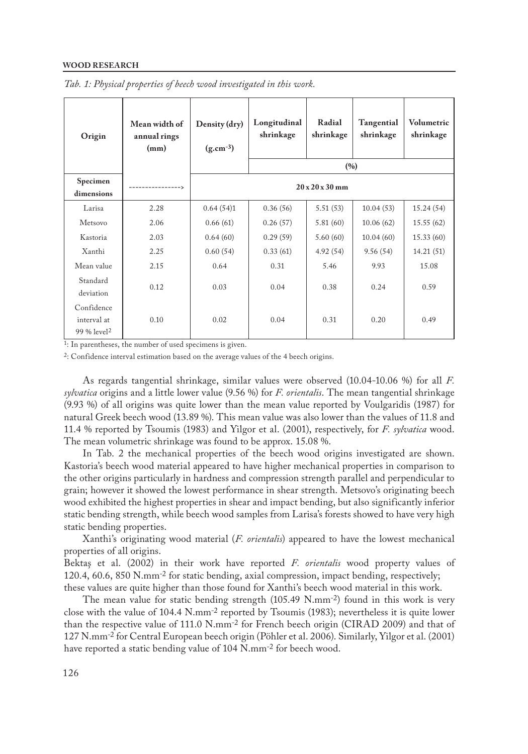#### **WOOD RESEARCH**

| Origin                                               | Mean width of<br>annual rings<br>(mm) |                             | Longitudinal<br>shrinkage | Radial<br>shrinkage |           | Volumetric<br>shrinkage |  |  |  |  |
|------------------------------------------------------|---------------------------------------|-----------------------------|---------------------------|---------------------|-----------|-------------------------|--|--|--|--|
|                                                      |                                       |                             | (%)                       |                     |           |                         |  |  |  |  |
| Specimen<br>dimensions                               | ------------->                        | $20 \times 20 \times 30$ mm |                           |                     |           |                         |  |  |  |  |
| Larisa                                               | 2.28                                  | 0.64(54)1                   | 0.36(56)                  | 5.51(53)            | 10.04(53) | 15.24(54)               |  |  |  |  |
| Metsovo                                              | 2.06                                  | 0.66(61)                    | 0.26(57)                  | 5.81(60)            | 10.06(62) | 15.55(62)               |  |  |  |  |
| Kastoria                                             | 2.03                                  | 0.64(60)                    | 0.29(59)                  | 5.60(60)            | 10.04(60) | 15.33(60)               |  |  |  |  |
| Xanthi                                               | 2.25                                  | 0.60(54)                    | 0.33(61)                  | 4.92(54)            | 9.56(54)  | 14.21(51)               |  |  |  |  |
| Mean value                                           | 2.15                                  | 0.64                        | 0.31                      | 5.46                | 9.93      | 15.08                   |  |  |  |  |
| Standard<br>deviation                                | 0.12                                  | 0.03                        | 0.04                      | 0.38                | 0.24      | 0.59                    |  |  |  |  |
| Confidence<br>interval at<br>99 % level <sup>2</sup> | 0.10                                  | 0.02                        | 0.04                      | 0.31                | 0.20      | 0.49                    |  |  |  |  |

|  |  |  |  |  |  |  | Tab. 1: Physical properties of beech wood investigated in this work. |  |  |  |
|--|--|--|--|--|--|--|----------------------------------------------------------------------|--|--|--|
|--|--|--|--|--|--|--|----------------------------------------------------------------------|--|--|--|

1: In parentheses, the number of used specimens is given.

2: Confidence interval estimation based on the average values of the 4 beech origins.

As regards tangential shrinkage, similar values were observed (10.04-10.06 %) for all *F. sylvatica* origins and a little lower value (9.56 %) for *F. orientalis*. The mean tangential shrinkage (9.93 %) of all origins was quite lower than the mean value reported by Voulgaridis (1987) for natural Greek beech wood (13.89 %). This mean value was also lower than the values of 11.8 and 11.4 % reported by Tsoumis (1983) and Yilgor et al. (2001), respectively, for *F. sylvatica* wood. The mean volumetric shrinkage was found to be approx. 15.08 %.

In Tab. 2 the mechanical properties of the beech wood origins investigated are shown. Kastoria's beech wood material appeared to have higher mechanical properties in comparison to the other origins particularly in hardness and compression strength parallel and perpendicular to grain; however it showed the lowest performance in shear strength. Metsovo's originating beech wood exhibited the highest properties in shear and impact bending, but also significantly inferior static bending strength, while beech wood samples from Larisa's forests showed to have very high static bending properties.

Xanthi's originating wood material (*F. orientalis*) appeared to have the lowest mechanical properties of all origins.

Bektaş et al. (2002) in their work have reported *F. orientalis* wood property values of 120.4, 60.6, 850 N.mm-2 for static bending, axial compression, impact bending, respectively; these values are quite higher than those found for Xanthi's beech wood material in this work.

The mean value for static bending strength  $(105.49 \text{ N} \cdot \text{mm}^{-2})$  found in this work is very close with the value of 104.4 N.mm-2 reported by Tsoumis (1983); nevertheless it is quite lower than the respective value of 111.0 N.mm-2 for French beech origin (CIRAD 2009) and that of 127 N.mm-2 for Central European beech origin (Pöhler et al. 2006). Similarly, Yilgor et al. (2001) have reported a static bending value of 104 N.mm<sup>-2</sup> for beech wood.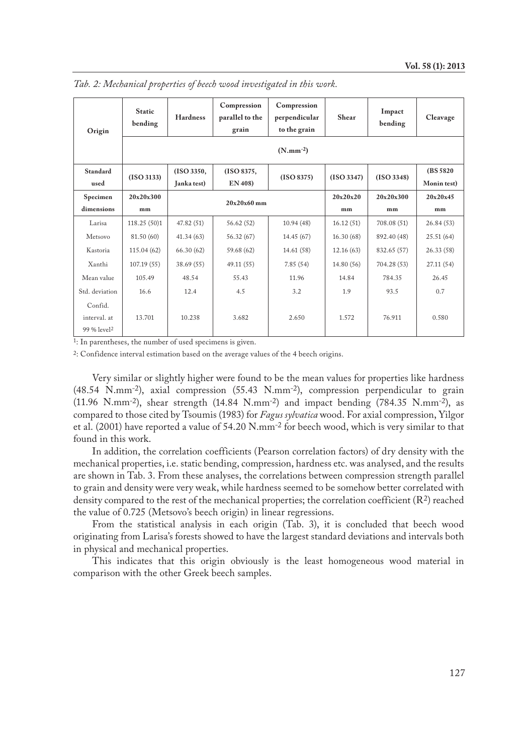| Origin                                             | <b>Static</b><br>bending | <b>Hardness</b> | Compression<br>parallel to the<br>grain | Compression<br>perpendicular<br>to the grain | Shear      | Impact<br>bending | Cleavage    |  |  |  |
|----------------------------------------------------|--------------------------|-----------------|-----------------------------------------|----------------------------------------------|------------|-------------------|-------------|--|--|--|
|                                                    | $(N.mm^{-2})$            |                 |                                         |                                              |            |                   |             |  |  |  |
| Standard                                           | (ISO 3133)               | (ISO 3350,      | (ISO 8375,                              | (ISO 8375)                                   | (ISO 3347) | (ISO 3348)        | (BS 5820)   |  |  |  |
| used                                               |                          | Janka test)     | EN 408)                                 |                                              |            |                   | Monin test) |  |  |  |
| Specimen                                           | 20x20x300                |                 | $20x20x60$ mm                           |                                              | 20x20x20   | 20x20x300         | 20x20x45    |  |  |  |
| dimensions                                         | mm                       |                 |                                         |                                              | mm         | mm                | mm          |  |  |  |
| Larisa                                             | 118.25 (50)1             | 47.82 (51)      | 56.62 (52)                              | 10.94(48)                                    | 16.12(51)  | 708.08 (51)       | 26.84 (53)  |  |  |  |
| Metsovo                                            | 81.50 (60)               | 41.34(63)       | 56.32 (67)                              | 14.45 (67)                                   | 16.30(68)  | 892.40 (48)       | 25.51(64)   |  |  |  |
| Kastoria                                           | 115.04(62)               | 66.30(62)       | 59.68 (62)                              | 14.61 (58)                                   | 12.16(63)  | 832.65 (57)       | 26.33 (58)  |  |  |  |
| Xanthi                                             | 107.19(55)               | 38.69(55)       | 49.11 (55)                              | 7.85(54)                                     | 14.80 (56) | 704.28 (53)       | 27.11 (54)  |  |  |  |
| Mean value                                         | 105.49                   | 48.54           | 55.43                                   | 11.96                                        | 14.84      | 784.35            | 26.45       |  |  |  |
| Std. deviation                                     | 16.6                     | 12.4            | 4.5                                     | 3.2                                          | 1.9        | 93.5              | 0.7         |  |  |  |
| Confid.<br>interval. at<br>99 % level <sup>2</sup> | 13.701                   | 10.238          | 3.682                                   | 2.650                                        | 1.572      | 76.911            | 0.580       |  |  |  |

*Tab. 2: Mechanical properties of beech wood investigated in this work.*

1: In parentheses, the number of used specimens is given.

2: Confidence interval estimation based on the average values of the 4 beech origins.

Very similar or slightly higher were found to be the mean values for properties like hardness (48.54 N.mm-2), axial compression (55.43 N.mm-2), compression perpendicular to grain (11.96 N.mm<sup>-2</sup>), shear strength (14.84 N.mm<sup>-2</sup>) and impact bending (784.35 N.mm<sup>-2</sup>), as compared to those cited by Tsoumis (1983) for *Fagus sylvatica* wood. For axial compression, Yilgor et al. (2001) have reported a value of 54.20 N.mm-2 for beech wood, which is very similar to that found in this work.

In addition, the correlation coefficients (Pearson correlation factors) of dry density with the mechanical properties, i.e. static bending, compression, hardness etc. was analysed, and the results are shown in Tab. 3. From these analyses, the correlations between compression strength parallel to grain and density were very weak, while hardness seemed to be somehow better correlated with density compared to the rest of the mechanical properties; the correlation coefficient (R<sup>2</sup>) reached the value of 0.725 (Metsovo's beech origin) in linear regressions.

From the statistical analysis in each origin (Tab. 3), it is concluded that beech wood originating from Larisa's forests showed to have the largest standard deviations and intervals both in physical and mechanical properties.

This indicates that this origin obviously is the least homogeneous wood material in comparison with the other Greek beech samples.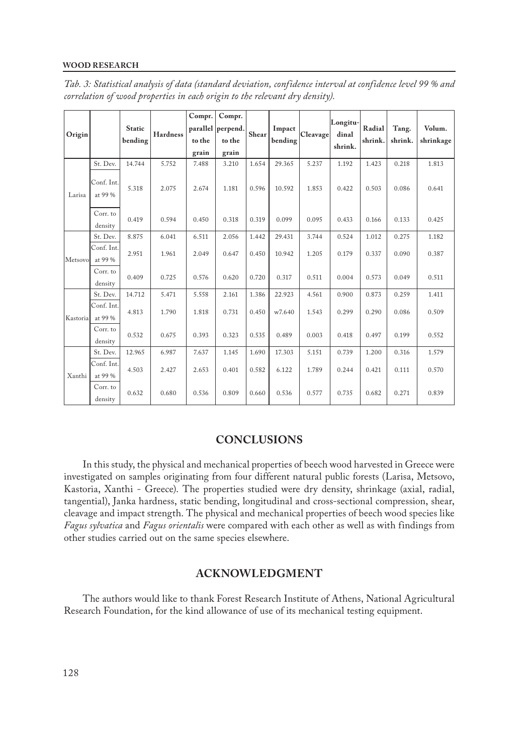#### **WOOD RESEARCH**

| Origin   |                       | <b>Static</b><br>bending | <b>Hardness</b> | Compr.<br>to the<br>grain | Compr.<br>parallel perpend.<br>to the<br>grain | Shear | Impact<br>bending | Cleavage | Longitu-<br>dinal<br>shrink. | Radial<br>shrink. | Tang.<br>shrink. | Volum.<br>shrinkage |
|----------|-----------------------|--------------------------|-----------------|---------------------------|------------------------------------------------|-------|-------------------|----------|------------------------------|-------------------|------------------|---------------------|
| Larisa   | St. Dev.              | 14.744                   | 5.752           | 7.488                     | 3.210                                          | 1.654 | 29.365            | 5.237    | 1.192                        | 1.423             | 0.218            | 1.813               |
|          | Conf. Int.<br>at 99 % | 5.318                    | 2.075           | 2.674                     | 1.181                                          | 0.596 | 10.592            | 1.853    | 0.422                        | 0.503             | 0.086            | 0.641               |
|          | Corr. to<br>density   | 0.419                    | 0.594           | 0.450                     | 0.318                                          | 0.319 | 0.099             | 0.095    | 0.433                        | 0.166             | 0.133            | 0.425               |
| Metsovo  | St. Dev.              | 8.875                    | 6.041           | 6.511                     | 2.056                                          | 1.442 | 29.431            | 3.744    | 0.524                        | 1.012             | 0.275            | 1.182               |
|          | Conf. Int.<br>at 99 % | 2.951                    | 1.961           | 2.049                     | 0.647                                          | 0.450 | 10.942            | 1.205    | 0.179                        | 0.337             | 0.090            | 0.387               |
|          | Corr. to<br>density   | 0.409                    | 0.725           | 0.576                     | 0.620                                          | 0.720 | 0.317             | 0.511    | 0.004                        | 0.573             | 0.049            | 0.511               |
|          | St. Dev.              | 14.712                   | 5.471           | 5.558                     | 2.161                                          | 1.386 | 22.923            | 4.561    | 0.900                        | 0.873             | 0.259            | 1.411               |
| Kastoria | Conf. Int.<br>at 99 % | 4.813                    | 1.790           | 1.818                     | 0.731                                          | 0.450 | w7.640            | 1.543    | 0.299                        | 0.290             | 0.086            | 0.509               |
|          | Corr. to<br>density   | 0.532                    | 0.675           | 0.393                     | 0.323                                          | 0.535 | 0.489             | 0.003    | 0.418                        | 0.497             | 0.199            | 0.552               |
| Xanthi   | St. Dev.              | 12.965                   | 6.987           | 7.637                     | 1.145                                          | 1.690 | 17.303            | 5.151    | 0.739                        | 1.200             | 0.316            | 1.579               |
|          | Conf. Int.<br>at 99 % | 4.503                    | 2.427           | 2.653                     | 0.401                                          | 0.582 | 6.122             | 1.789    | 0.244                        | 0.421             | 0.111            | 0.570               |
|          | Corr. to<br>density   | 0.632                    | 0.680           | 0.536                     | 0.809                                          | 0.660 | 0.536             | 0.577    | 0.735                        | 0.682             | 0.271            | 0.839               |

*Tab. 3: Statistical analysis of data (standard deviation, confidence interval at confidence level 99 % and correlation of wood properties in each origin to the relevant dry density).* 

# **CONCLUSIONS**

In this study, the physical and mechanical properties of beech wood harvested in Greece were investigated on samples originating from four different natural public forests (Larisa, Metsovo, Kastoria, Xanthi - Greece). The properties studied were dry density, shrinkage (axial, radial, tangential), Janka hardness, static bending, longitudinal and cross-sectional compression, shear, cleavage and impact strength. The physical and mechanical properties of beech wood species like *Fagus sylvatica* and *Fagus orientalis* were compared with each other as well as with findings from other studies carried out on the same species elsewhere.

## **ACKNOWLEDGMENT**

The authors would like to thank Forest Research Institute of Athens, National Agricultural Research Foundation, for the kind allowance of use of its mechanical testing equipment.